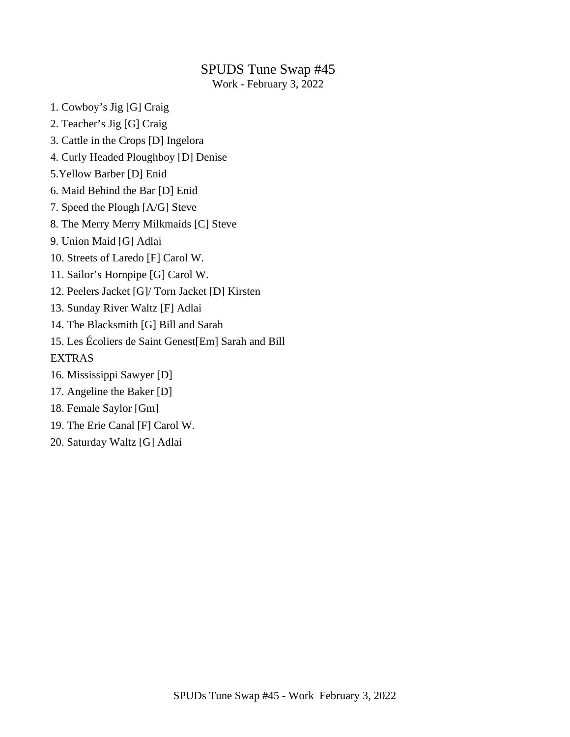### SPUDS Tune Swap #45

Work - February 3, 2022

- 1. Cowboy's Jig [G] Craig
- 2. Teacher's Jig [G] Craig
- 3. Cattle in the Crops [D] Ingelora
- 4. Curly Headed Ploughboy [D] Denise
- 5.Yellow Barber [D] Enid
- 6. Maid Behind the Bar [D] Enid
- 7. Speed the Plough [A/G] Steve
- 8. The Merry Merry Milkmaids [C] Steve
- 9. Union Maid [G] Adlai
- 10. Streets of Laredo [F] Carol W.
- 11. Sailor's Hornpipe [G] Carol W.
- 12. Peelers Jacket [G]/ Torn Jacket [D] Kirsten
- 13. Sunday River Waltz [F] Adlai
- 14. The Blacksmith [G] Bill and Sarah
- 15. Les Écoliers de Saint Genest[Em] Sarah and Bill

EXTRAS

- 16. Mississippi Sawyer [D]
- 17. Angeline the Baker [D]
- 18. Female Saylor [Gm]
- 19. The Erie Canal [F] Carol W.
- 20. Saturday Waltz [G] Adlai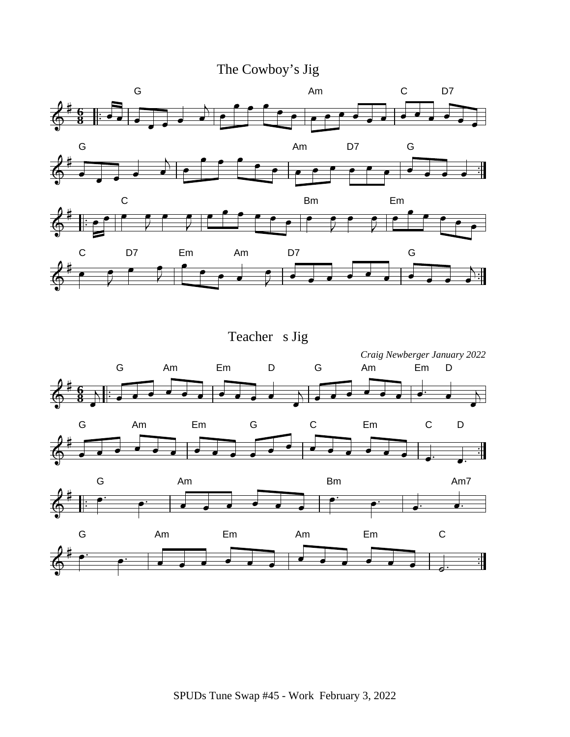# The Cowboy's Jig

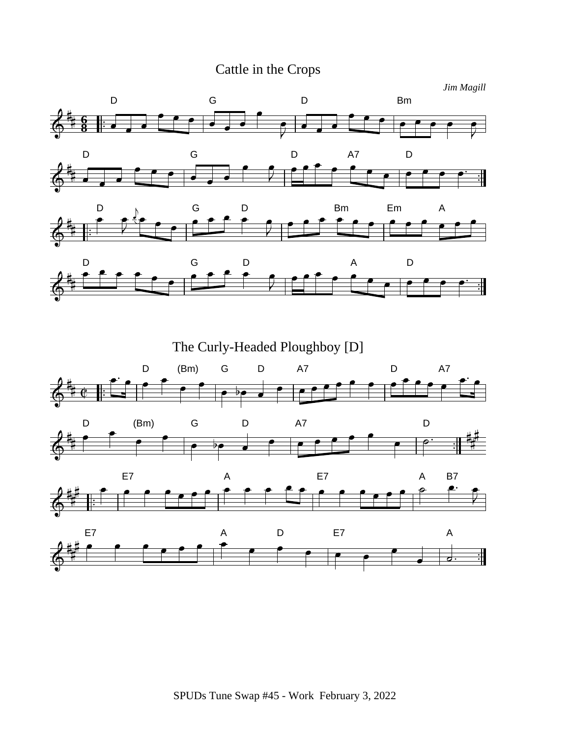# Cattle in the Crops





The Curly-Headed Ploughboy [D]

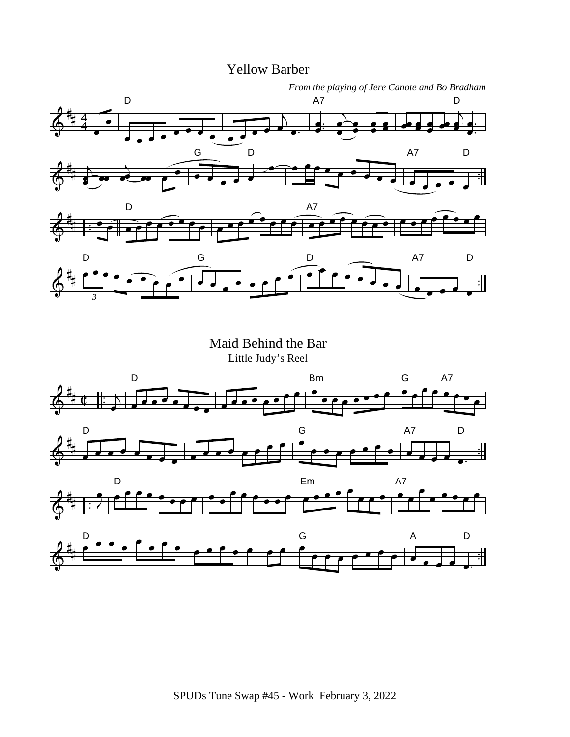## Yellow Barber





*3*

Maid Behind the Bar Little Judy's Reel

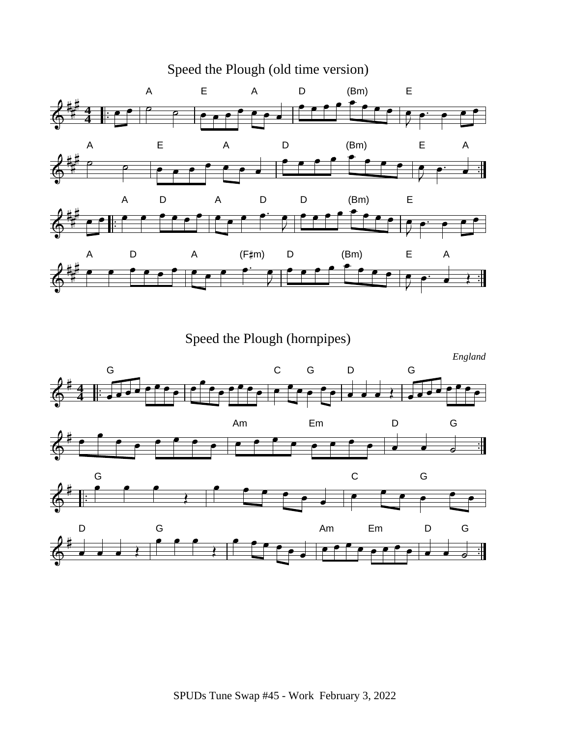

Speed the Plough (hornpipes)

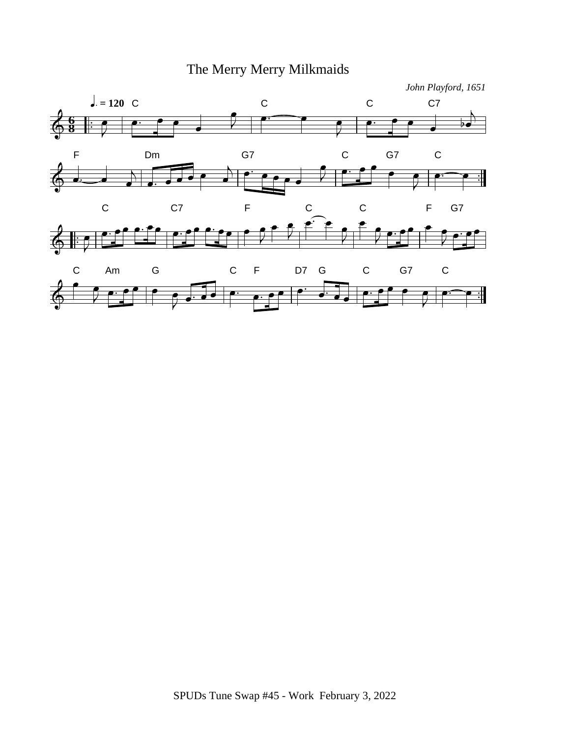# The Merry Merry Milkmaids

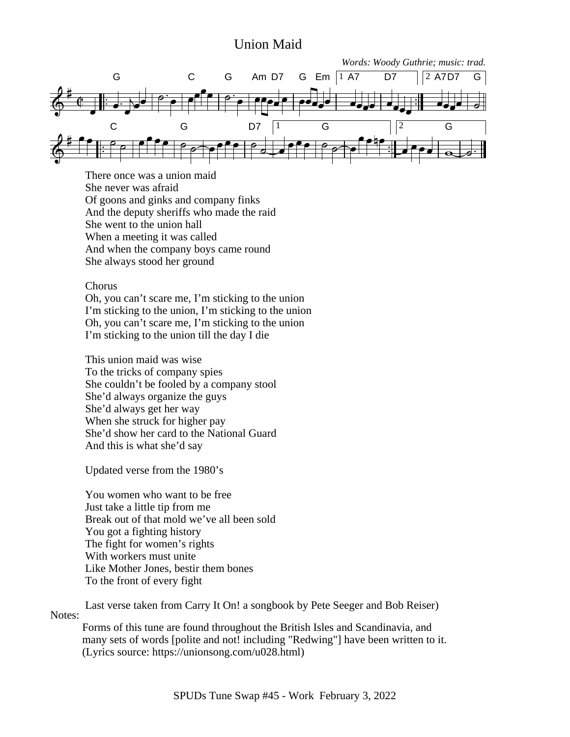### Union Maid



There once was a union maid She never was afraid Of goons and ginks and company finks And the deputy sheriffs who made the raid She went to the union hall When a meeting it was called And when the company boys came round She always stood her ground

#### Chorus

Oh, you can't scare me, I'm sticking to the union I'm sticking to the union, I'm sticking to the union Oh, you can't scare me, I'm sticking to the union I'm sticking to the union till the day I die

This union maid was wise To the tricks of company spies She couldn't be fooled by a company stool She'd always organize the guys She'd always get her way When she struck for higher pay She'd show her card to the National Guard And this is what she'd say

Updated verse from the 1980's

You women who want to be free Just take a little tip from me Break out of that mold we've all been sold You got a fighting history The fight for women's rights With workers must unite Like Mother Jones, bestir them bones To the front of every fight

Last verse taken from Carry It On! a songbook by Pete Seeger and Bob Reiser) Notes:

Forms of this tune are found throughout the British Isles and Scandinavia, and many sets of words [polite and not! including "Redwing"] have been written to it. (Lyrics source: https://unionsong.com/u028.html)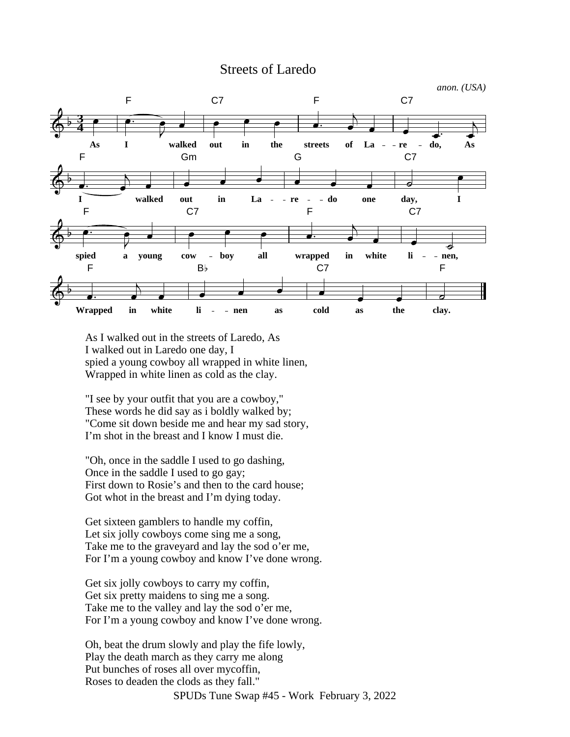#### Streets of Laredo



As I walked out in the streets of Laredo, As I walked out in Laredo one day, I spied a young cowboy all wrapped in white linen, Wrapped in white linen as cold as the clay.

"I see by your outfit that you are a cowboy," These words he did say as i boldly walked by; "Come sit down beside me and hear my sad story, I'm shot in the breast and I know I must die.

"Oh, once in the saddle I used to go dashing, Once in the saddle I used to go gay; First down to Rosie's and then to the card house; Got whot in the breast and I'm dying today.

Get sixteen gamblers to handle my coffin, Let six jolly cowboys come sing me a song, Take me to the graveyard and lay the sod o'er me, For I'm a young cowboy and know I've done wrong.

Get six jolly cowboys to carry my coffin, Get six pretty maidens to sing me a song. Take me to the valley and lay the sod o'er me, For I'm a young cowboy and know I've done wrong.

Oh, beat the drum slowly and play the fife lowly, Play the death march as they carry me along Put bunches of roses all over mycoffin, Roses to deaden the clods as they fall."

SPUDs Tune Swap #45 - Work February 3, 2022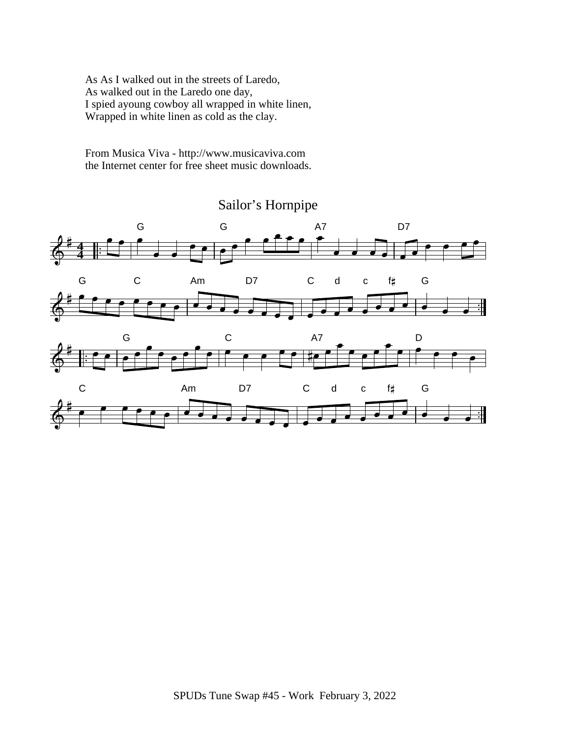As As I walked out in the streets of Laredo, As walked out in the Laredo one day, I spied ayoung cowboy all wrapped in white linen, Wrapped in white linen as cold as the clay.

From Musica Viva - http://www.musicaviva.com the Internet center for free sheet music downloads.



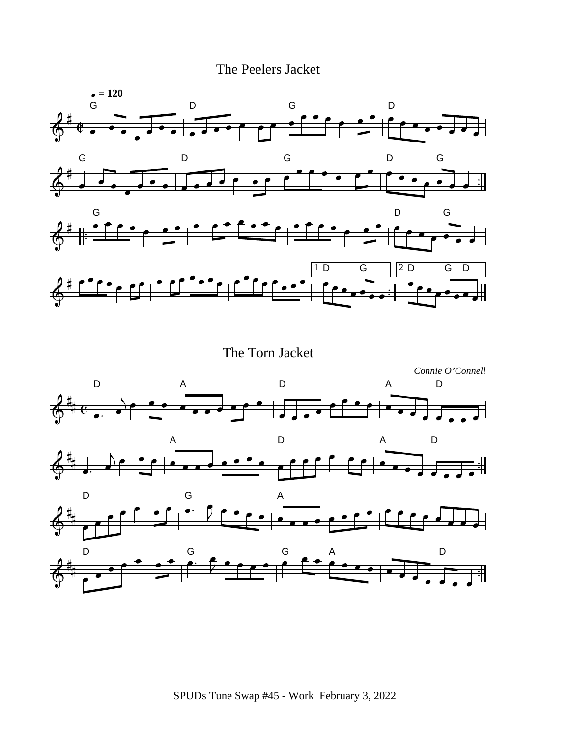## The Peelers Jacket



The Torn Jacket

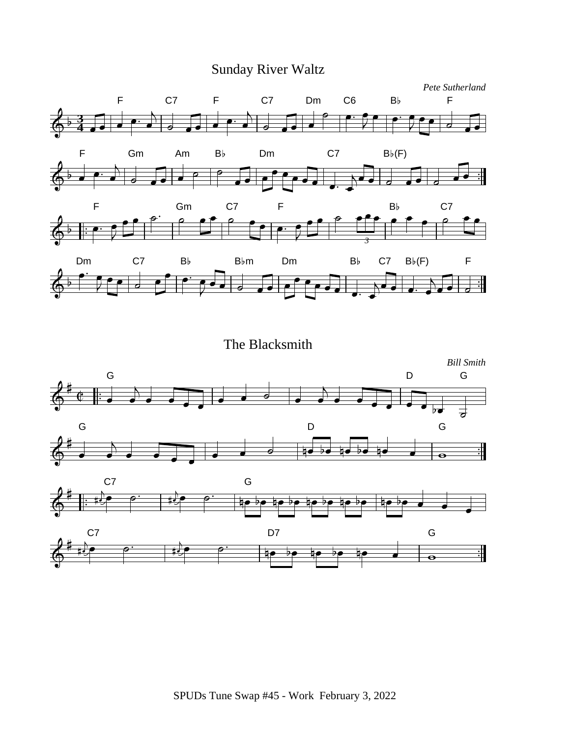# Sunday River Waltz



The Blacksmith

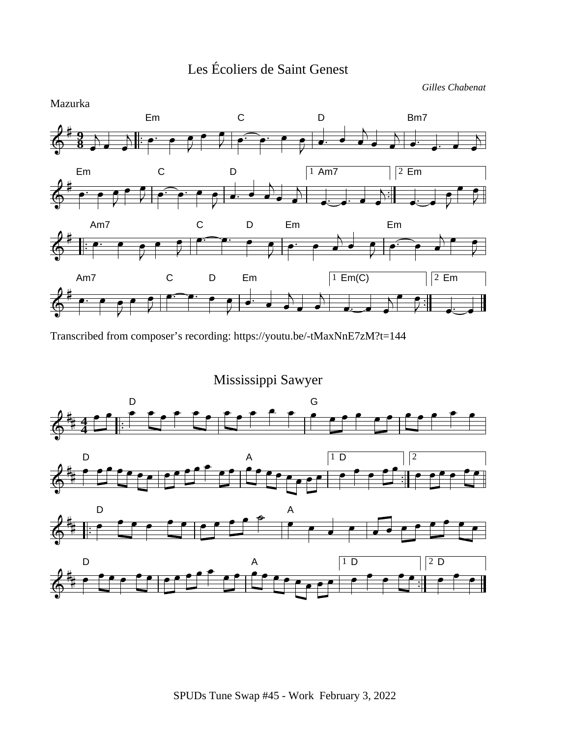## Les Écoliers de Saint Genest

*Gilles Chabenat*



Transcribed from composer's recording: https://youtu.be/-tMaxNnE7zM?t=144

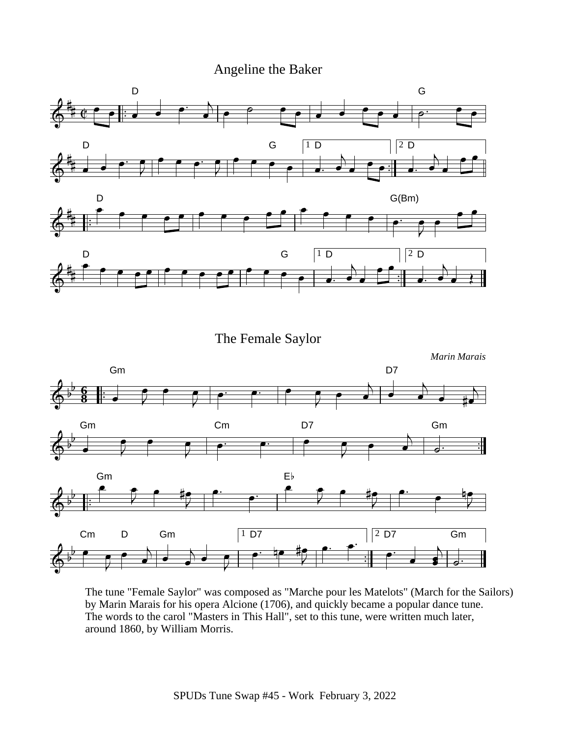## Angeline the Baker



The Female Saylor



The tune "Female Saylor" was composed as "Marche pour les Matelots" (March for the Sailors) by Marin Marais for his opera Alcione (1706), and quickly became a popular dance tune. The words to the carol "Masters in This Hall", set to this tune, were written much later, around 1860, by William Morris.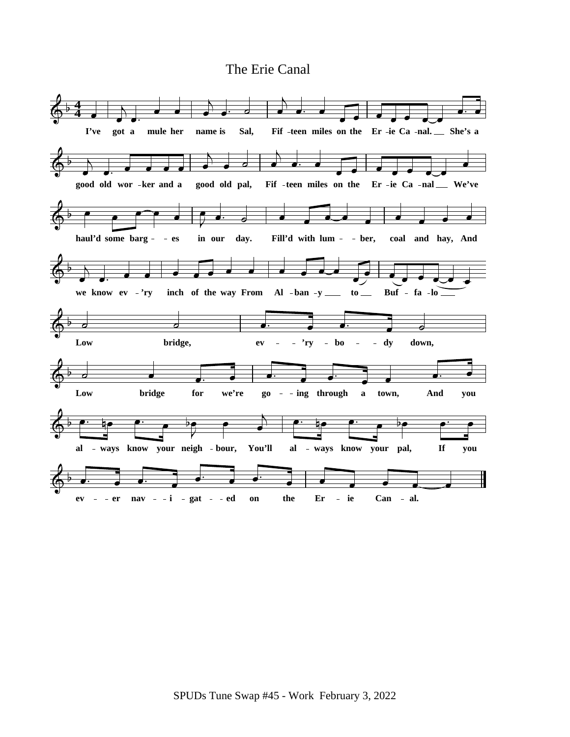#### The Erie Canal